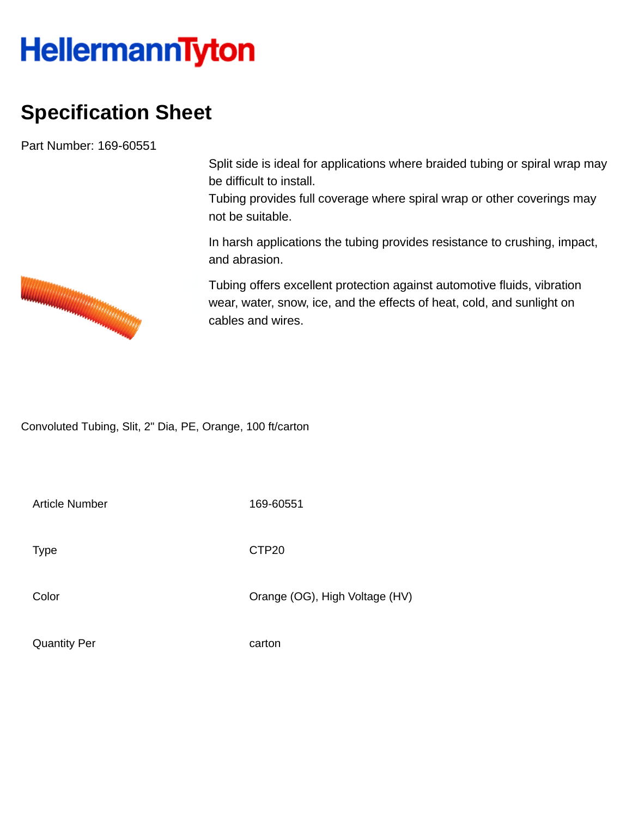## **HellermannTyton**

## **Specification Sheet**

Part Number: 169-60551

Split side is ideal for applications where braided tubing or spiral wrap may be difficult to install.

Tubing provides full coverage where spiral wrap or other coverings may not be suitable.

In harsh applications the tubing provides resistance to crushing, impact, and abrasion.

Tubing offers excellent protection against automotive fluids, vibration wear, water, snow, ice, and the effects of heat, cold, and sunlight on cables and wires.

Convoluted Tubing, Slit, 2" Dia, PE, Orange, 100 ft/carton

Article Number 169-60551

Type **CTP20** 

Color Color Color Color Color Color Color Color Color Color Color Color Color Color Color Color Color Color Co

Quantity Per carton

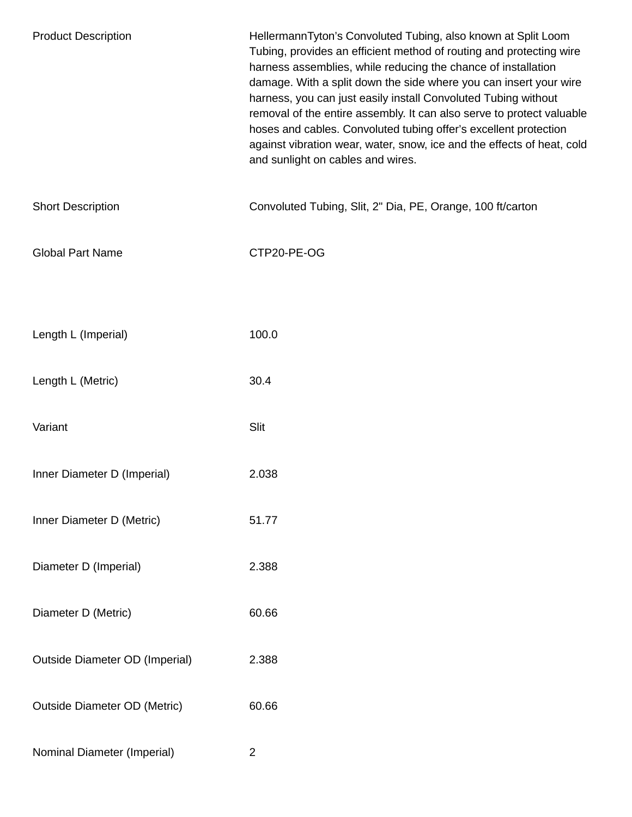| <b>Product Description</b>            | HellermannTyton's Convoluted Tubing, also known at Split Loom<br>Tubing, provides an efficient method of routing and protecting wire<br>harness assemblies, while reducing the chance of installation<br>damage. With a split down the side where you can insert your wire<br>harness, you can just easily install Convoluted Tubing without<br>removal of the entire assembly. It can also serve to protect valuable<br>hoses and cables. Convoluted tubing offer's excellent protection<br>against vibration wear, water, snow, ice and the effects of heat, cold<br>and sunlight on cables and wires. |
|---------------------------------------|----------------------------------------------------------------------------------------------------------------------------------------------------------------------------------------------------------------------------------------------------------------------------------------------------------------------------------------------------------------------------------------------------------------------------------------------------------------------------------------------------------------------------------------------------------------------------------------------------------|
| <b>Short Description</b>              | Convoluted Tubing, Slit, 2" Dia, PE, Orange, 100 ft/carton                                                                                                                                                                                                                                                                                                                                                                                                                                                                                                                                               |
| <b>Global Part Name</b>               | CTP20-PE-OG                                                                                                                                                                                                                                                                                                                                                                                                                                                                                                                                                                                              |
|                                       |                                                                                                                                                                                                                                                                                                                                                                                                                                                                                                                                                                                                          |
| Length L (Imperial)                   | 100.0                                                                                                                                                                                                                                                                                                                                                                                                                                                                                                                                                                                                    |
| Length L (Metric)                     | 30.4                                                                                                                                                                                                                                                                                                                                                                                                                                                                                                                                                                                                     |
| Variant                               | Slit                                                                                                                                                                                                                                                                                                                                                                                                                                                                                                                                                                                                     |
| Inner Diameter D (Imperial)           | 2.038                                                                                                                                                                                                                                                                                                                                                                                                                                                                                                                                                                                                    |
| Inner Diameter D (Metric)             | 51.77                                                                                                                                                                                                                                                                                                                                                                                                                                                                                                                                                                                                    |
| Diameter D (Imperial)                 | 2.388                                                                                                                                                                                                                                                                                                                                                                                                                                                                                                                                                                                                    |
| Diameter D (Metric)                   | 60.66                                                                                                                                                                                                                                                                                                                                                                                                                                                                                                                                                                                                    |
| <b>Outside Diameter OD (Imperial)</b> | 2.388                                                                                                                                                                                                                                                                                                                                                                                                                                                                                                                                                                                                    |
| <b>Outside Diameter OD (Metric)</b>   | 60.66                                                                                                                                                                                                                                                                                                                                                                                                                                                                                                                                                                                                    |
| Nominal Diameter (Imperial)           | $\overline{2}$                                                                                                                                                                                                                                                                                                                                                                                                                                                                                                                                                                                           |